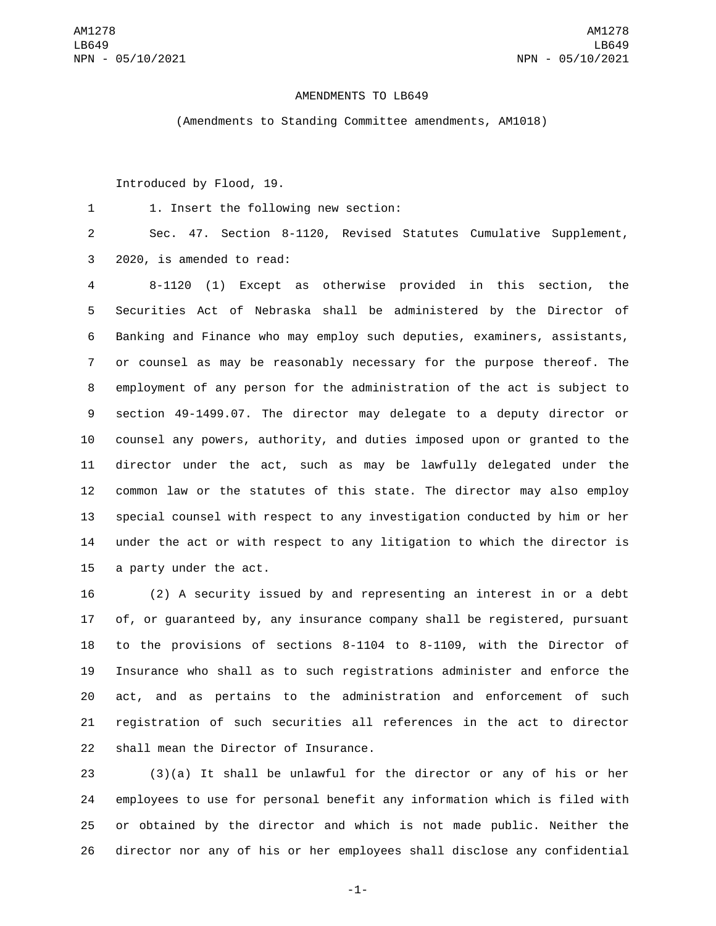## AMENDMENTS TO LB649

(Amendments to Standing Committee amendments, AM1018)

Introduced by Flood, 19.

1. Insert the following new section:1

 Sec. 47. Section 8-1120, Revised Statutes Cumulative Supplement, 3 2020, is amended to read:

 8-1120 (1) Except as otherwise provided in this section, the Securities Act of Nebraska shall be administered by the Director of Banking and Finance who may employ such deputies, examiners, assistants, or counsel as may be reasonably necessary for the purpose thereof. The employment of any person for the administration of the act is subject to section 49-1499.07. The director may delegate to a deputy director or counsel any powers, authority, and duties imposed upon or granted to the director under the act, such as may be lawfully delegated under the common law or the statutes of this state. The director may also employ special counsel with respect to any investigation conducted by him or her under the act or with respect to any litigation to which the director is 15 a party under the act.

 (2) A security issued by and representing an interest in or a debt of, or guaranteed by, any insurance company shall be registered, pursuant to the provisions of sections 8-1104 to 8-1109, with the Director of Insurance who shall as to such registrations administer and enforce the act, and as pertains to the administration and enforcement of such registration of such securities all references in the act to director 22 shall mean the Director of Insurance.

 (3)(a) It shall be unlawful for the director or any of his or her employees to use for personal benefit any information which is filed with or obtained by the director and which is not made public. Neither the director nor any of his or her employees shall disclose any confidential

-1-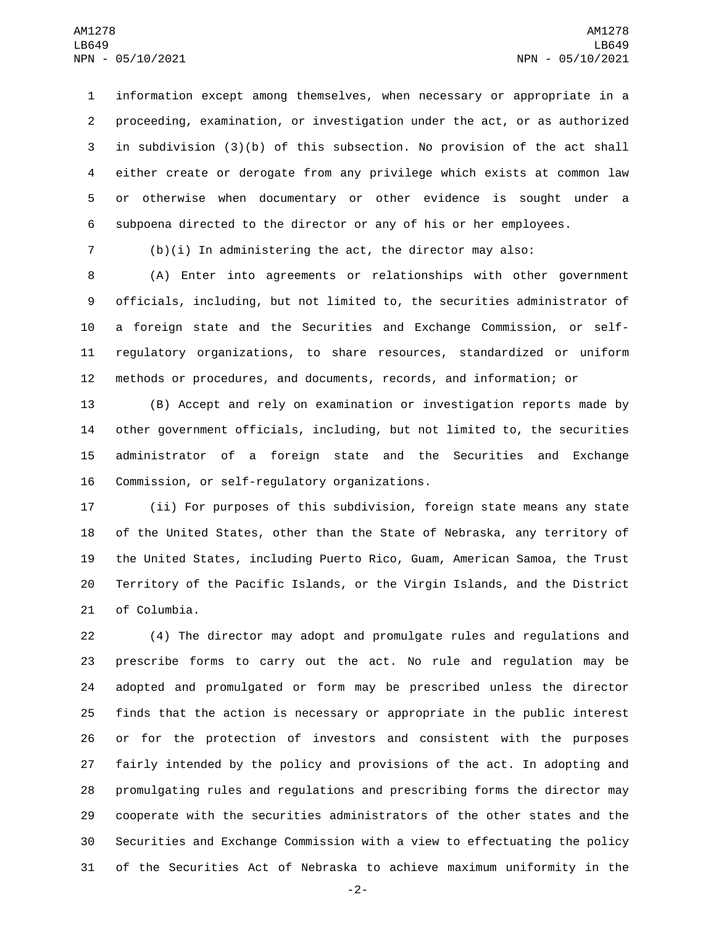information except among themselves, when necessary or appropriate in a proceeding, examination, or investigation under the act, or as authorized in subdivision (3)(b) of this subsection. No provision of the act shall either create or derogate from any privilege which exists at common law or otherwise when documentary or other evidence is sought under a subpoena directed to the director or any of his or her employees.

(b)(i) In administering the act, the director may also:

 (A) Enter into agreements or relationships with other government officials, including, but not limited to, the securities administrator of a foreign state and the Securities and Exchange Commission, or self- regulatory organizations, to share resources, standardized or uniform methods or procedures, and documents, records, and information; or

 (B) Accept and rely on examination or investigation reports made by other government officials, including, but not limited to, the securities administrator of a foreign state and the Securities and Exchange 16 Commission, or self-regulatory organizations.

 (ii) For purposes of this subdivision, foreign state means any state of the United States, other than the State of Nebraska, any territory of the United States, including Puerto Rico, Guam, American Samoa, the Trust Territory of the Pacific Islands, or the Virgin Islands, and the District 21 of Columbia.

 (4) The director may adopt and promulgate rules and regulations and prescribe forms to carry out the act. No rule and regulation may be adopted and promulgated or form may be prescribed unless the director finds that the action is necessary or appropriate in the public interest or for the protection of investors and consistent with the purposes fairly intended by the policy and provisions of the act. In adopting and promulgating rules and regulations and prescribing forms the director may cooperate with the securities administrators of the other states and the Securities and Exchange Commission with a view to effectuating the policy of the Securities Act of Nebraska to achieve maximum uniformity in the

-2-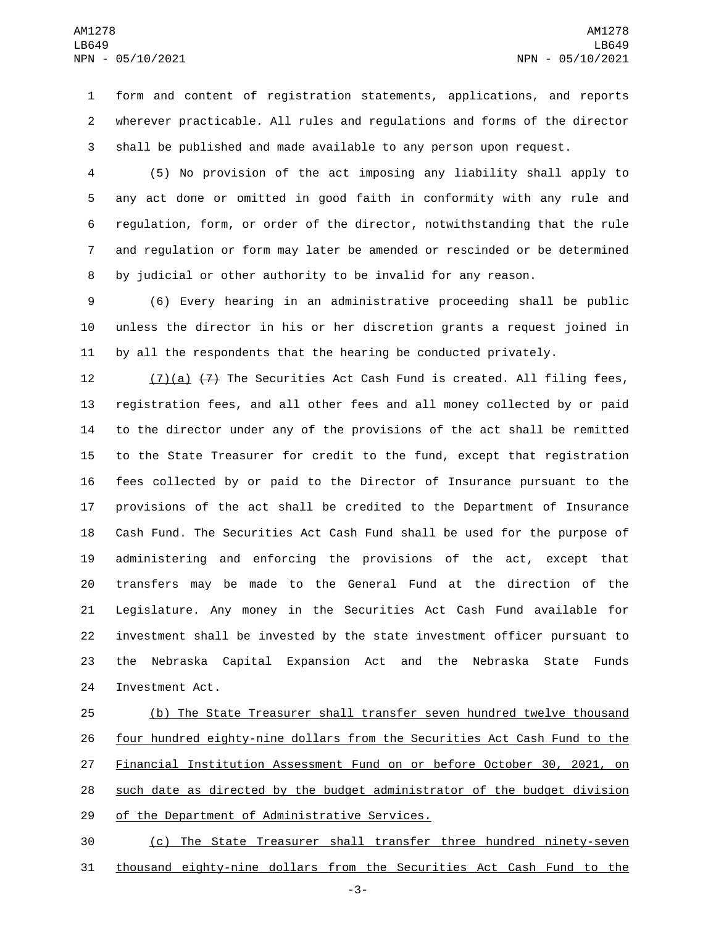form and content of registration statements, applications, and reports wherever practicable. All rules and regulations and forms of the director shall be published and made available to any person upon request.

 (5) No provision of the act imposing any liability shall apply to any act done or omitted in good faith in conformity with any rule and regulation, form, or order of the director, notwithstanding that the rule and regulation or form may later be amended or rescinded or be determined by judicial or other authority to be invalid for any reason.

 (6) Every hearing in an administrative proceeding shall be public unless the director in his or her discretion grants a request joined in by all the respondents that the hearing be conducted privately.

 $(7)(a)$   $(7)$  The Securities Act Cash Fund is created. All filing fees, registration fees, and all other fees and all money collected by or paid to the director under any of the provisions of the act shall be remitted to the State Treasurer for credit to the fund, except that registration fees collected by or paid to the Director of Insurance pursuant to the provisions of the act shall be credited to the Department of Insurance Cash Fund. The Securities Act Cash Fund shall be used for the purpose of administering and enforcing the provisions of the act, except that transfers may be made to the General Fund at the direction of the Legislature. Any money in the Securities Act Cash Fund available for investment shall be invested by the state investment officer pursuant to the Nebraska Capital Expansion Act and the Nebraska State Funds 24 Investment Act.

 (b) The State Treasurer shall transfer seven hundred twelve thousand four hundred eighty-nine dollars from the Securities Act Cash Fund to the Financial Institution Assessment Fund on or before October 30, 2021, on such date as directed by the budget administrator of the budget division 29 of the Department of Administrative Services.

 (c) The State Treasurer shall transfer three hundred ninety-seven thousand eighty-nine dollars from the Securities Act Cash Fund to the

-3-